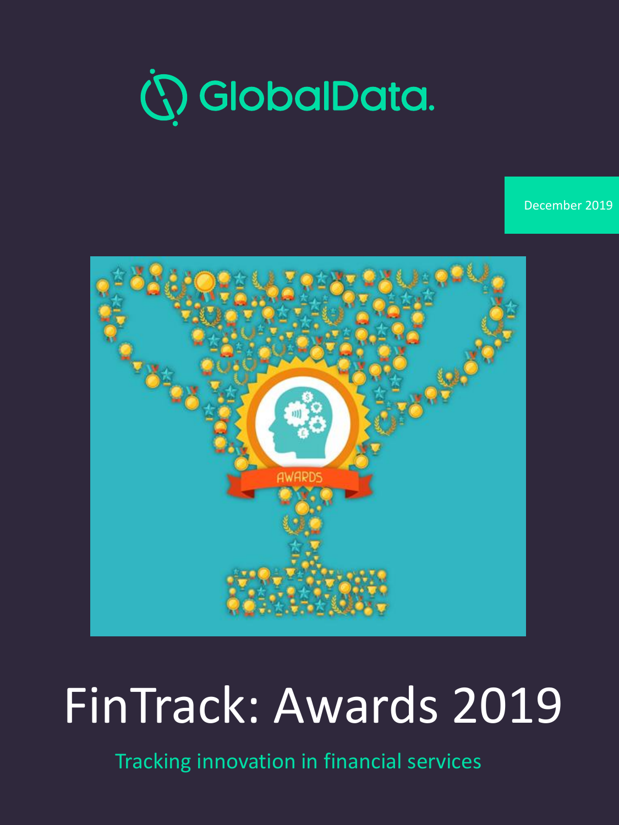

December 2019



## FinTrack: Awards 2019

Tracking innovation in financial services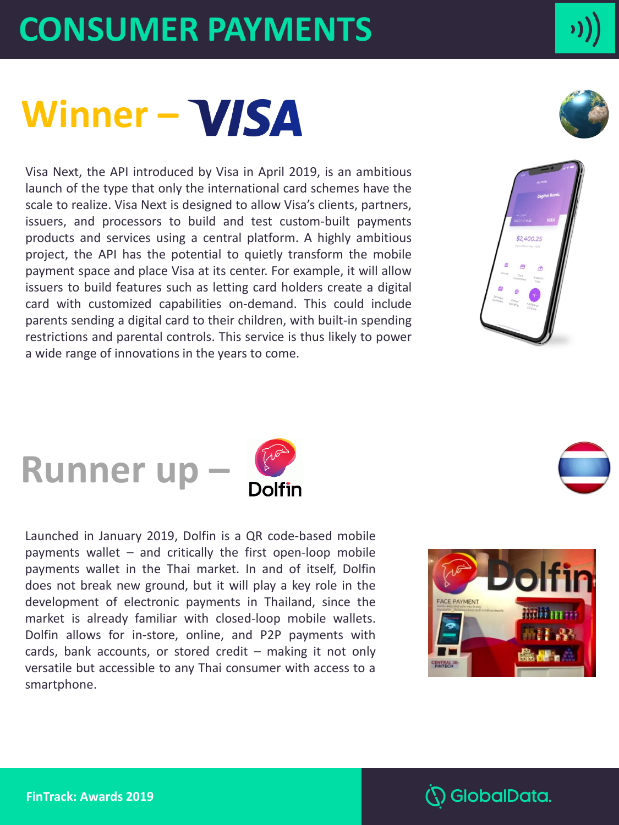## **CONSUMER PAYMENTS**

## Winner - *VISA*

Visa Next, the API introduced by Visa in April 2019, is an ambitious launch of the type that only the international card schemes have the scale to realize. Visa Next is designed to allow Visa's clients, partners, issuers, and processors to build and test custom-built payments products and services using a central platform. A highly ambitious project, the API has the potential to quietly transform the mobile payment space and place Visa at its center. For example, it will allow issuers to build features such as letting card holders create a digital card with customized capabilities on-demand. This could include parents sending a digital card to their children, with built-in spending restrictions and parental controls. This service is thus likely to power a wide range of innovations in the years to come.



## **Runner up –**

Launched in January 2019, Dolfin is a QR code-based mobile payments wallet – and critically the first open-loop mobile payments wallet in the Thai market. In and of itself, Dolfin does not break new ground, but it will play a key role in the development of electronic payments in Thailand, since the market is already familiar with closed-loop mobile wallets. Dolfin allows for in-store, online, and P2P payments with cards, bank accounts, or stored credit – making it not only versatile but accessible to any Thai consumer with access to a smartphone.



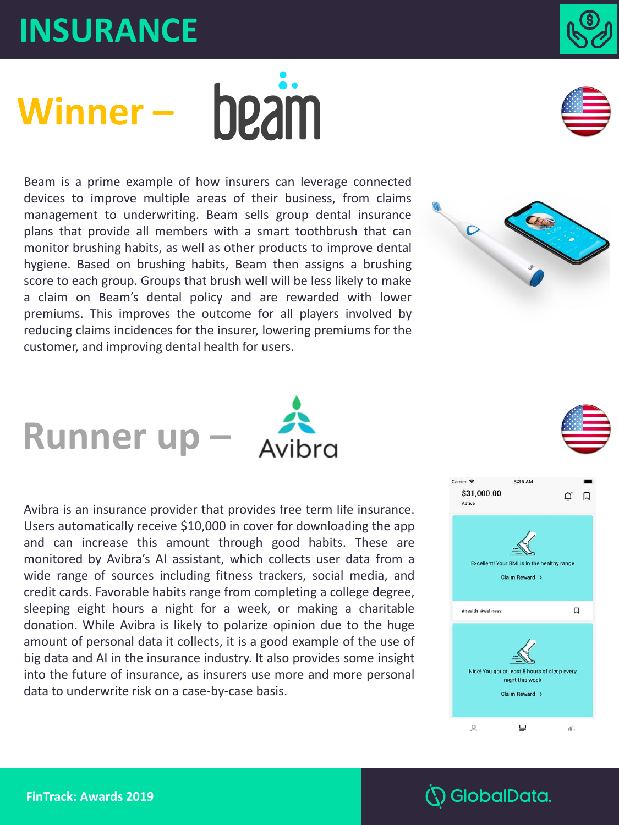### **INSURANCE**

data to underwrite risk on a case-by-case basis.

Beam is a prime example of how insurers can leverage connected devices to improve multiple areas of their business, from claims management to underwriting. Beam sells group dental insurance plans that provide all members with a smart toothbrush that can monitor brushing habits, as well as other products to improve dental hygiene. Based on brushing habits, Beam then assigns a brushing score to each group. Groups that brush well will be less likely to make a claim on Beam's dental policy and are rewarded with lower premiums. This improves the outcome for all players involved by reducing claims incidences for the insurer, lowering premiums for the customer, and improving dental health for users.

Avibra is an insurance provider that provides free term life insurance. Users automatically receive \$10,000 in cover for downloading the app and can increase this amount through good habits. These are monitored by Avibra's AI assistant, which collects user data from a wide range of sources including fitness trackers, social media, and credit cards. Favorable habits range from completing a college degree, sleeping eight hours a night for a week, or making a charitable donation. While Avibra is likely to polarize opinion due to the huge amount of personal data it collects, it is a good example of the use of big data and AI in the insurance industry. It also provides some insight into the future of insurance, as insurers use more and more personal















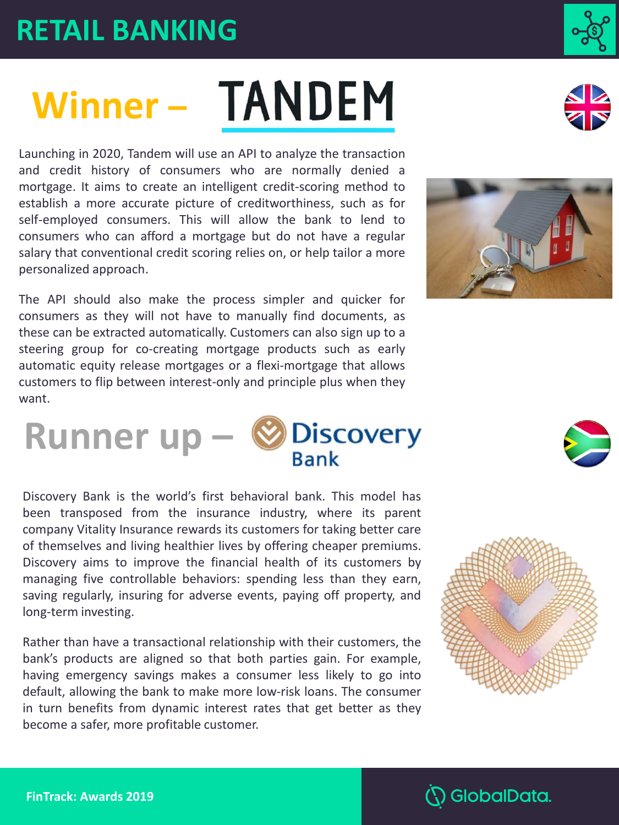### **RETAIL BANKING**

# Winner - TANDEM

Launching in 2020, Tandem will use an API to analyze the transaction and credit history of consumers who are normally denied a mortgage. It aims to create an intelligent credit-scoring method to establish a more accurate picture of creditworthiness, such as for self-employed consumers. This will allow the bank to lend to consumers who can afford a mortgage but do not have a regular salary that conventional credit scoring relies on, or help tailor a more personalized approach.

The API should also make the process simpler and quicker for consumers as they will not have to manually find documents, as these can be extracted automatically. Customers can also sign up to a steering group for co-creating mortgage products such as early automatic equity release mortgages or a flexi-mortgage that allows customers to flip between interest-only and principle plus when they want.



**Runner up**  $-\bigotimes_{\text{Bank}} \text{Discount}$ 

Rather than have a transactional relationship with their customers, the bank's products are aligned so that both parties gain. For example, having emergency savings makes a consumer less likely to go into default, allowing the bank to make more low-risk loans. The consumer in turn benefits from dynamic interest rates that get better as they become a safer, more profitable customer.









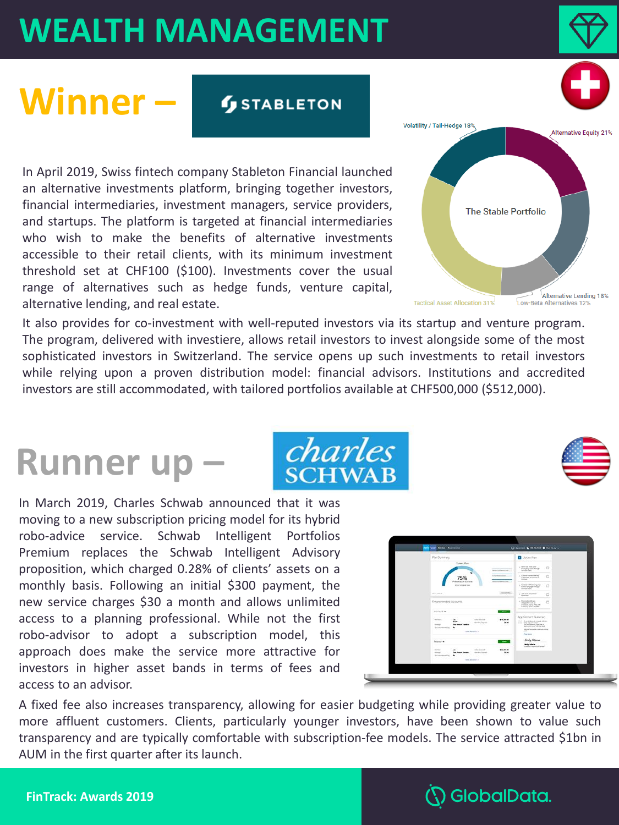## **WEALTH MANAGEMENT**

## **Winner –**

**STABLETON** 

In April 2019, Swiss fintech company Stableton Financial launched an alternative investments platform, bringing together investors, financial intermediaries, investment managers, service providers, and startups. The platform is targeted at financial intermediaries who wish to make the benefits of alternative investments accessible to their retail clients, with its minimum investment threshold set at CHF100 (\$100). Investments cover the usual range of alternatives such as hedge funds, venture capital, alternative lending, and real estate.

It also provides for co-investment with well-reputed investors via its startup and venture program. The program, delivered with investiere, allows retail investors to invest alongside some of the most sophisticated investors in Switzerland. The service opens up such investments to retail investors while relying upon a proven distribution model: financial advisors. Institutions and accredited investors are still accommodated, with tailored portfolios available at CHF500,000 (\$512,000).

### **Runner up –**

In March 2019, Charles Schwab announced that it was moving to a new subscription pricing model for its hybrid robo-advice service. Schwab Intelligent Portfolios Premium replaces the Schwab Intelligent Advisory proposition, which charged 0.28% of clients' assets on a monthly basis. Following an initial \$300 payment, the new service charges \$30 a month and allows unlimited access to a planning professional. While not the first robo-advisor to adopt a subscription model, this approach does make the service more attractive for investors in higher asset bands in terms of fees and access to an advisor.

A fixed fee also increases transparency, allowing for easier budgeting while providing greater value to more affluent customers. Clients, particularly younger investors, have been shown to value such transparency and are typically comfortable with subscription-fee models. The service attracted \$1bn in AUM in the first quarter after its launch.









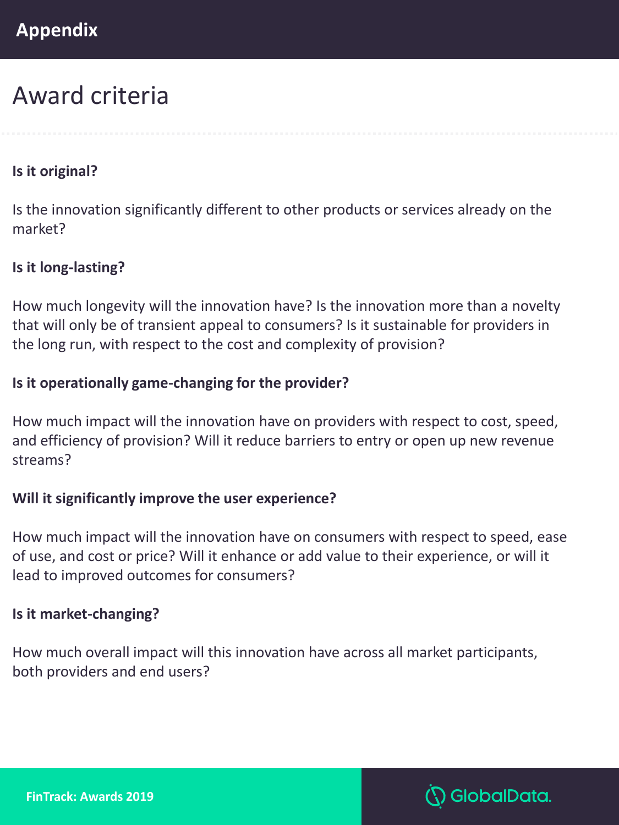### Award criteria

#### **Is it original?**

Is the innovation significantly different to other products or services already on the market?

#### **Is it long-lasting?**

How much longevity will the innovation have? Is the innovation more than a novelty that will only be of transient appeal to consumers? Is it sustainable for providers in the long run, with respect to the cost and complexity of provision?

#### **Is it operationally game-changing for the provider?**

How much impact will the innovation have on providers with respect to cost, speed, and efficiency of provision? Will it reduce barriers to entry or open up new revenue streams?

#### **Will it significantly improve the user experience?**

How much impact will the innovation have on consumers with respect to speed, ease of use, and cost or price? Will it enhance or add value to their experience, or will it lead to improved outcomes for consumers?

#### **Is it market-changing?**

How much overall impact will this innovation have across all market participants, both providers and end users?